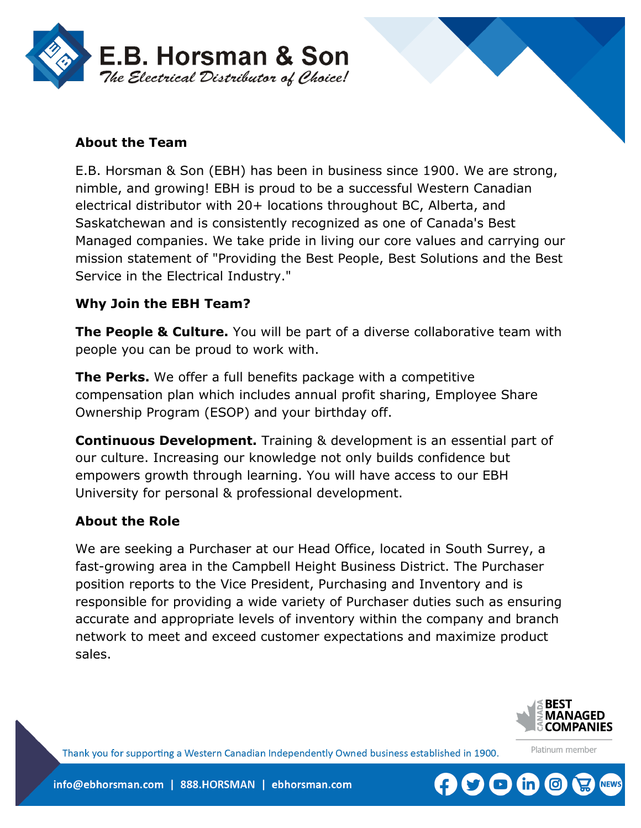

## **About the Team**

E.B. Horsman & Son (EBH) has been in business since 1900. We are strong, nimble, and growing! EBH is proud to be a successful Western Canadian electrical distributor with 20+ locations throughout BC, Alberta, and Saskatchewan and is consistently recognized as one of Canada's Best Managed companies. We take pride in living our core values and carrying our mission statement of "Providing the Best People, Best Solutions and the Best Service in the Electrical Industry."

### **Why Join the EBH Team?**

**The People & Culture.** You will be part of a diverse collaborative team with people you can be proud to work with.

**The Perks.** We offer a full benefits package with a competitive compensation plan which includes annual profit sharing, Employee Share Ownership Program (ESOP) and your birthday off.

**Continuous Development.** Training & development is an essential part of our culture. Increasing our knowledge not only builds confidence but empowers growth through learning. You will have access to our EBH University for personal & professional development.

#### **About the Role**

We are seeking a Purchaser at our Head Office, located in South Surrey, a fast-growing area in the Campbell Height Business District. The Purchaser position reports to the Vice President, Purchasing and Inventory and is responsible for providing a wide variety of Purchaser duties such as ensuring accurate and appropriate levels of inventory within the company and branch network to meet and exceed customer expectations and maximize product sales.



Platinum member

Thank you for supporting a Western Canadian Independently Owned business established in 1900.

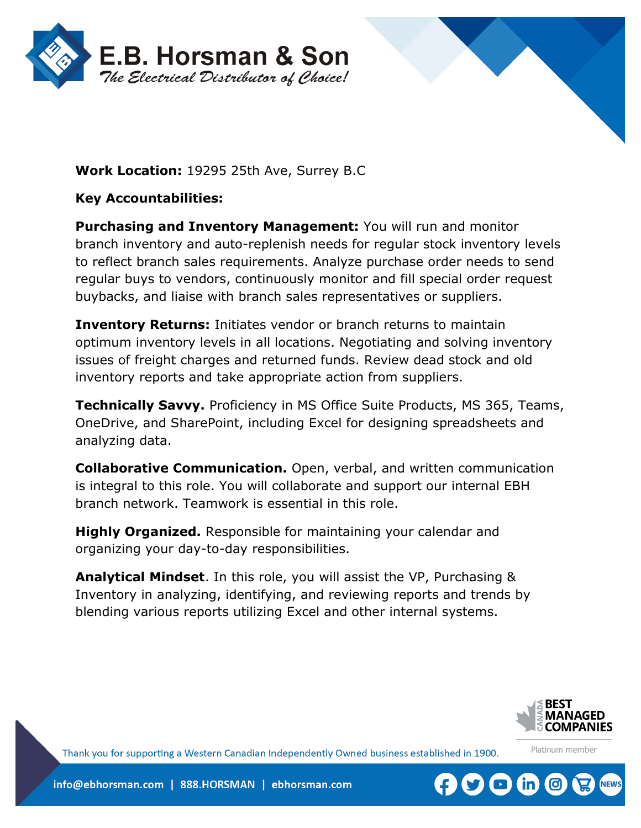



# **Work Location:** 19295 25th Ave, Surrey B.C

## **Key Accountabilities:**

**Purchasing and Inventory Management:** You will run and monitor branch inventory and auto-replenish needs for regular stock inventory levels to reflect branch sales requirements. Analyze purchase order needs to send regular buys to vendors, continuously monitor and fill special order request buybacks, and liaise with branch sales representatives or suppliers.

**Inventory Returns:** Initiates vendor or branch returns to maintain optimum inventory levels in all locations. Negotiating and solving inventory issues of freight charges and returned funds. Review dead stock and old inventory reports and take appropriate action from suppliers.

**Technically Savvy.** Proficiency in MS Office Suite Products, MS 365, Teams, OneDrive, and SharePoint, including Excel for designing spreadsheets and analyzing data.

**Collaborative Communication.** Open, verbal, and written communication is integral to this role. You will collaborate and support our internal EBH branch network. Teamwork is essential in this role.

**Highly Organized.** Responsible for maintaining your calendar and organizing your day-to-day responsibilities.

**Analytical Mindset**. In this role, you will assist the VP, Purchasing & Inventory in analyzing, identifying, and reviewing reports and trends by blending various reports utilizing Excel and other internal systems.



Platinum member

Thank you for supporting a Western Canadian Independently Owned business established in 1900.